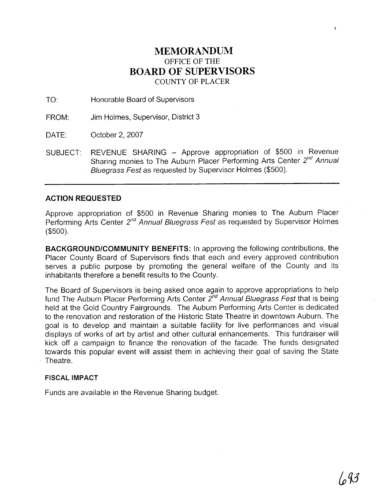## **MEMORANDUM**  OFFICE OF THE **BOARD OF SUPERVISORS**  COUNTY OF PLACER

TO: Honorable Board of Supervisors

FROM: Jim Holmes, Supervisor, District 3

DATE: October 2, 2007

SUBJECT: REVENUE SHARING - Approve appropriation of \$500 in Revenue Sharing monies to The Auburn Placer Performing Arts Center 2<sup>nd</sup> Annual Bluegrass Fest as requested by Supervisor Holmes (\$500).

## **ACTION REQUESTED**

Approve appropriation of \$500 in Revenue Sharing monies to The Auburn Placer Performing Arts Center  $2^{nd}$  Annual Bluegrass Fest as requested by Supervisor Holmes (\$500).

**BACKGROUNDICOMMUNITY BENEFITS:** In approving the following contributions, the Placer County Board of Supervisors finds that each and every approved contribution serves a public purpose by promoting the general welfare of the County and its inhabitants therefore a benefit results to the County.

The Board of Supervisors is being asked once again to approve appropriations to help fund The Auburn Placer Performing Arts Center  $2^{nd}$  Annual Bluegrass Fest that is being held at the Gold Country Fairgrounds. The Auburn Performing Arts Center is dedicated to the renovation and restoration of the Historic State Theatre in downtown Auburn. The goal is to develop and maintain a suitable facility for live performances and visual displays of works of art by artist and other cultural enhancements. This fundraiser will kick off a campaign to finance the renovation of the facade. The funds designated towards this popular event will assist them in achieving their goal of saving the State Theatre.

## **FISCAL IMPACT**

Funds are available in the Revenue Sharing budget.